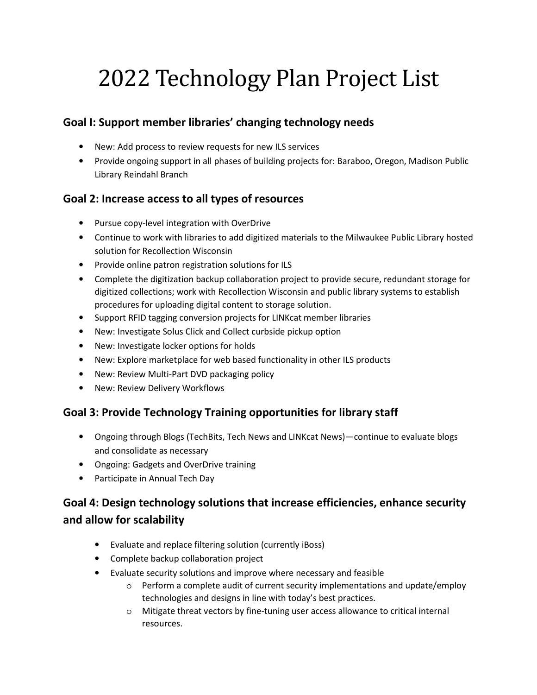# 2022 Technology Plan Project List

### **Goal I: Support member libraries' changing technology needs**

- New: Add process to review requests for new ILS services
- Provide ongoing support in all phases of building projects for: Baraboo, Oregon, Madison Public Library Reindahl Branch

#### **Goal 2: Increase access to all types of resources**

- Pursue copy-level integration with OverDrive
- Continue to work with libraries to add digitized materials to the Milwaukee Public Library hosted solution for Recollection Wisconsin
- Provide online patron registration solutions for ILS
- Complete the digitization backup collaboration project to provide secure, redundant storage for digitized collections; work with Recollection Wisconsin and public library systems to establish procedures for uploading digital content to storage solution.
- Support RFID tagging conversion projects for LINKcat member libraries
- New: Investigate Solus Click and Collect curbside pickup option
- New: Investigate locker options for holds
- New: Explore marketplace for web based functionality in other ILS products
- New: Review Multi-Part DVD packaging policy
- New: Review Delivery Workflows

#### **Goal 3: Provide Technology Training opportunities for library staff**

- Ongoing through Blogs (TechBits, Tech News and LINKcat News)—continue to evaluate blogs and consolidate as necessary
- Ongoing: Gadgets and OverDrive training
- Participate in Annual Tech Day

## **Goal 4: Design technology solutions that increase efficiencies, enhance security and allow for scalability**

- Evaluate and replace filtering solution (currently iBoss)
- Complete backup collaboration project
- Evaluate security solutions and improve where necessary and feasible
	- $\circ$  Perform a complete audit of current security implementations and update/employ technologies and designs in line with today's best practices.
	- o Mitigate threat vectors by fine-tuning user access allowance to critical internal resources.